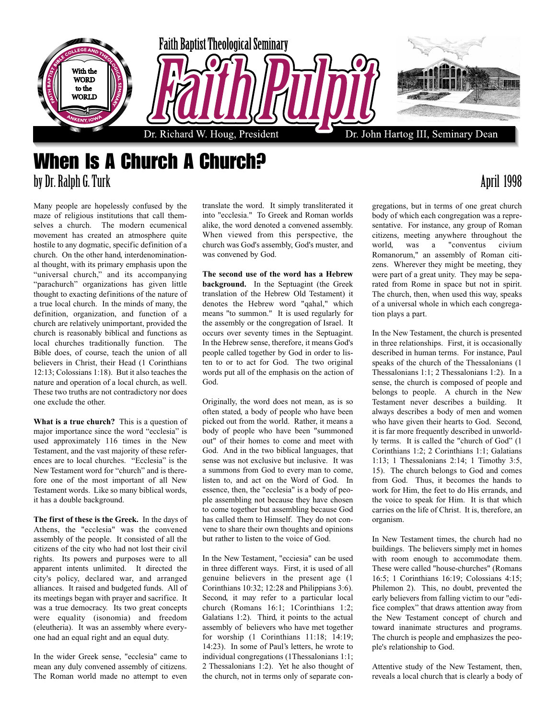

## When Is A Church A Church? by Dr. Ralph G. Turk April 1998

Many people are hopelessly confused by the maze of religious institutions that call themselves a church. The modern ecumenical movement has created an atmosphere quite hostile to any dogmatic, specific definition of a church. On the other hand, interdenominational thought, with its primary emphasis upon the "universal church," and its accompanying "parachurch" organizations has given little thought to exacting definitions of the nature of a true local church. In the minds of many, the definition, organization, and function of a church are relatively unimportant, provided the church is reasonably biblical and functions as local churches traditionally function. The Bible does, of course, teach the union of all believers in Christ, their Head (1 Corinthians 12:13; Colossians 1:18). But it also teaches the nature and operation of a local church, as well. These two truths are not contradictory nor does one exclude the other.

**What is a true church?** This is a question of major importance since the word "ecclesia" is used approximately 116 times in the New Testament, and the vast majority of these references are to local churches. "Ecclesia" is the New Testament word for "church" and is therefore one of the most important of all New Testament words. Like so many biblical words, it has a double background.

**The first of these is the Greek.** In the days of Athens, the "ecclesia" was the convened assembly of the people. It consisted of all the citizens of the city who had not lost their civil rights. Its powers and purposes were to all apparent intents unlimited. It directed the city's policy, declared war, and arranged alliances. It raised and budgeted funds. All of its meetings began with prayer and sacrifice. It was a true democracy. Its two great concepts were equality (isonomia) and freedom (eleutheria). It was an assembly where everyone had an equal right and an equal duty.

In the wider Greek sense, "ecclesia" came to mean any duly convened assembly of citizens. The Roman world made no attempt to even translate the word. It simply transliterated it into "ecclesia." To Greek and Roman worlds alike, the word denoted a convened assembly. When viewed from this perspective, the church was God's assembly, God's muster, and was convened by God.

**The second use of the word has a Hebrew background.** In the Septuagint (the Greek translation of the Hebrew Old Testament) it denotes the Hebrew word "qahal," which means "to summon." It is used regularly for the assembly or the congregation of Israel. It occurs over seventy times in the Septuagint. In the Hebrew sense, therefore, it means God's people called together by God in order to listen to or to act for God. The two original words put all of the emphasis on the action of God.

Originally, the word does not mean, as is so often stated, a body of people who have been picked out from the world. Rather, it means a body of people who have been "summoned out" of their homes to come and meet with God. And in the two biblical languages, that sense was not exclusive but inclusive. It was a summons from God to every man to come, listen to, and act on the Word of God. In essence, then, the "ecclesia" is a body of people assembling not because they have chosen to come together but assembling because God has called them to Himself. They do not convene to share their own thoughts and opinions but rather to listen to the voice of God.

In the New Testament, "ecciesia" can be used in three different ways. First, it is used of all genuine believers in the present age (1 Corinthians 10:32; 12:28 and Philippians 3:6). Second, it may refer to a particular local church (Romans 16:1; 1Corinthians 1:2; Galatians 1:2). Third, it points to the actual assembly of believers who have met together for worship (1 Corinthians 11:18; 14:19; 14:23). In some of Paul's letters, he wrote to individual congregations (1Thessalonians 1:1; 2 Thessalonians 1:2). Yet he also thought of the church, not in terms only of separate con-

gregations, but in terms of one great church body of which each congregation was a representative. For instance, any group of Roman citizens, meeting anywhere throughout the world, was a "conventus civium Romanorum," an assembly of Roman citizens. Wherever they might be meeting, they were part of a great unity. They may be separated from Rome in space but not in spirit. The church, then, when used this way, speaks of a universal whole in which each congregation plays a part.

In the New Testament, the church is presented in three relationships. First, it is occasionally described in human terms. For instance, Paul speaks of the church of the Thessalonians (1 Thessalonians 1:1; 2 Thessalonians 1:2). In a sense, the church is composed of people and belongs to people. A church in the New Testament never describes a building. It always describes a body of men and women who have given their hearts to God. Second, it is far more frequently described in unworldly terms. It is called the "church of God" (1 Corinthians 1:2; 2 Corinthians 1:1; Galatians 1:13; 1 Thessalonians 2:14; 1 Timothy 3:5, 15). The church belongs to God and comes from God. Thus, it becomes the hands to work for Him, the feet to do His errands, and the voice to speak for Him. It is that which carries on the life of Christ. It is, therefore, an organism.

In New Testament times, the church had no buildings. The believers simply met in homes with room enough to accommodate them. These were called "house-churches" (Romans 16:5; 1 Corinthians 16:19; Colossians 4:15; Philemon 2). This, no doubt, prevented the early believers from falling victim to our "edifice complex" that draws attention away from the New Testament concept of church and toward inanimate structures and programs. The church is people and emphasizes the people's relationship to God.

Attentive study of the New Testament, then, reveals a local church that is clearly a body of